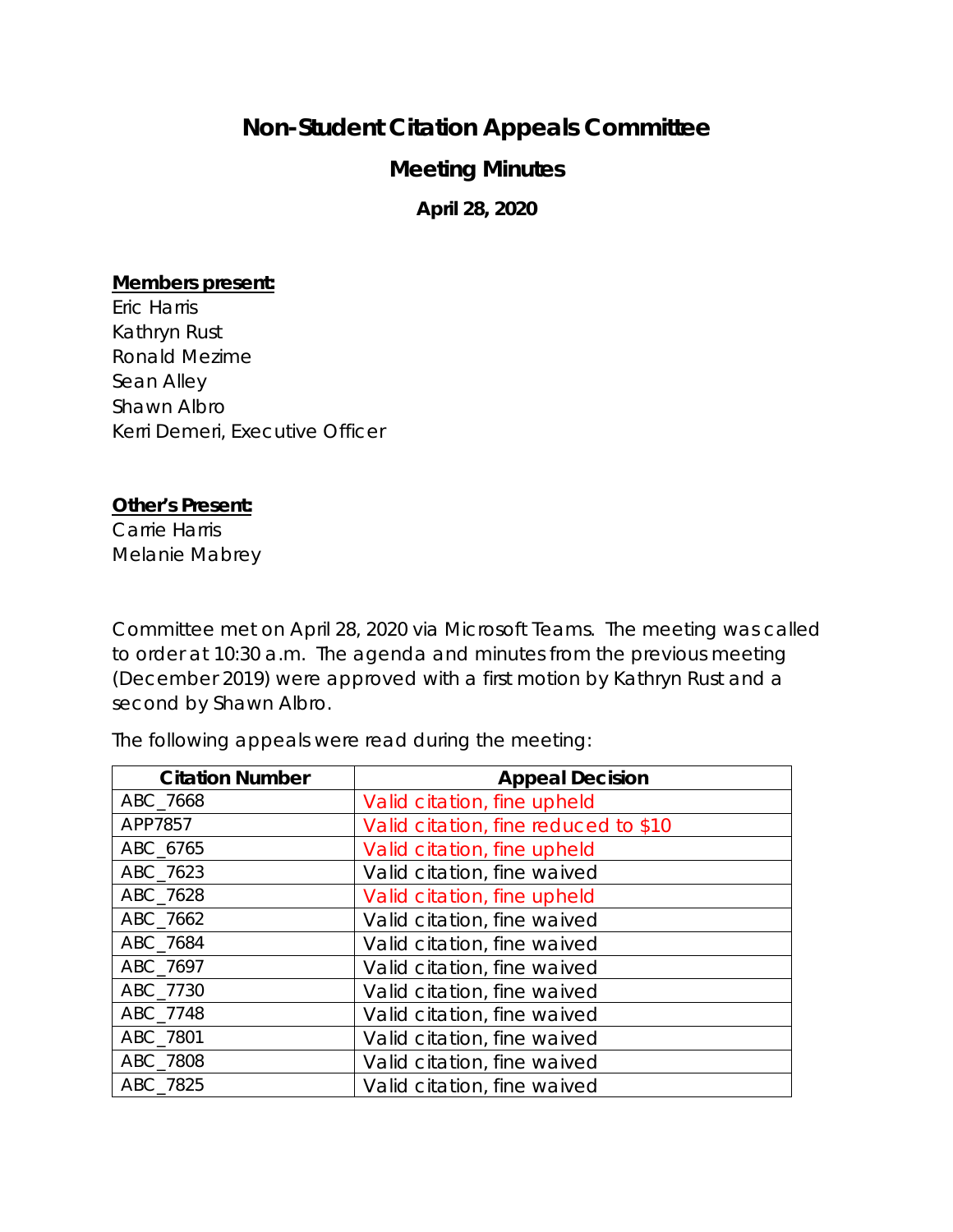## **Non-Student Citation Appeals Committee**

## **Meeting Minutes**

**April 28, 2020**

## **Members present:**

Eric Harris Kathryn Rust Ronald Mezime Sean Alley Shawn Albro Kerri Demeri, Executive Officer

## **Other's Present:**

Carrie Harris Melanie Mabrey

Committee met on April 28, 2020 via Microsoft Teams. The meeting was called to order at 10:30 a.m. The agenda and minutes from the previous meeting (December 2019) were approved with a first motion by Kathryn Rust and a second by Shawn Albro.

The following appeals were read during the meeting:

| <b>Citation Number</b> | <b>Appeal Decision</b>               |
|------------------------|--------------------------------------|
| ABC_7668               | Valid citation, fine upheld          |
| APP7857                | Valid citation, fine reduced to \$10 |
| ABC 6765               | Valid citation, fine upheld          |
| ABC 7623               | Valid citation, fine waived          |
| ABC 7628               | Valid citation, fine upheld          |
| ABC 7662               | Valid citation, fine waived          |
| ABC 7684               | Valid citation, fine waived          |
| ABC 7697               | Valid citation, fine waived          |
| ABC 7730               | Valid citation, fine waived          |
| ABC 7748               | Valid citation, fine waived          |
| ABC 7801               | Valid citation, fine waived          |
| ABC 7808               | Valid citation, fine waived          |
| ABC 7825               | Valid citation, fine waived          |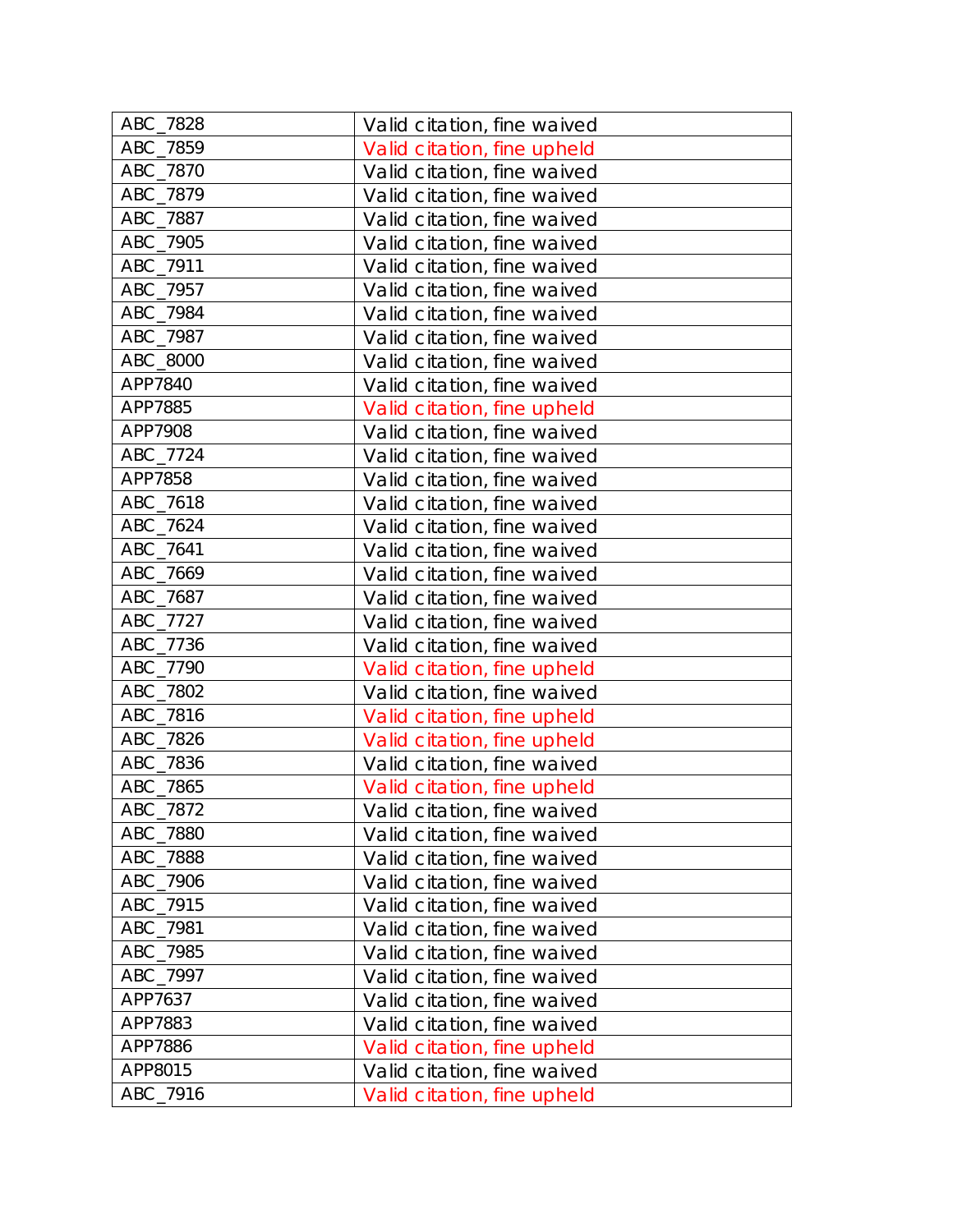| ABC_7828 | Valid citation, fine waived |
|----------|-----------------------------|
| ABC_7859 | Valid citation, fine upheld |
| ABC_7870 | Valid citation, fine waived |
| ABC_7879 | Valid citation, fine waived |
| ABC_7887 | Valid citation, fine waived |
| ABC_7905 | Valid citation, fine waived |
| ABC_7911 | Valid citation, fine waived |
| ABC_7957 | Valid citation, fine waived |
| ABC_7984 | Valid citation, fine waived |
| ABC 7987 | Valid citation, fine waived |
| ABC_8000 | Valid citation, fine waived |
| APP7840  | Valid citation, fine waived |
| APP7885  | Valid citation, fine upheld |
| APP7908  | Valid citation, fine waived |
| ABC_7724 | Valid citation, fine waived |
| APP7858  | Valid citation, fine waived |
| ABC_7618 | Valid citation, fine waived |
| ABC_7624 | Valid citation, fine waived |
| ABC_7641 | Valid citation, fine waived |
| ABC_7669 | Valid citation, fine waived |
| ABC_7687 | Valid citation, fine waived |
| ABC_7727 | Valid citation, fine waived |
| ABC_7736 | Valid citation, fine waived |
| ABC_7790 | Valid citation, fine upheld |
| ABC_7802 | Valid citation, fine waived |
| ABC_7816 | Valid citation, fine upheld |
| ABC_7826 | Valid citation, fine upheld |
| ABC_7836 | Valid citation, fine waived |
| ABC_7865 | Valid citation, fine upheld |
| ABC_7872 | Valid citation, fine waived |
| ABC_7880 | Valid citation, fine waived |
| ABC_7888 | Valid citation, fine waived |
| ABC 7906 | Valid citation, fine waived |
| ABC 7915 | Valid citation, fine waived |
| ABC_7981 | Valid citation, fine waived |
| ABC_7985 | Valid citation, fine waived |
| ABC_7997 | Valid citation, fine waived |
| APP7637  | Valid citation, fine waived |
| APP7883  | Valid citation, fine waived |
| APP7886  | Valid citation, fine upheld |
| APP8015  | Valid citation, fine waived |
| ABC_7916 | Valid citation, fine upheld |